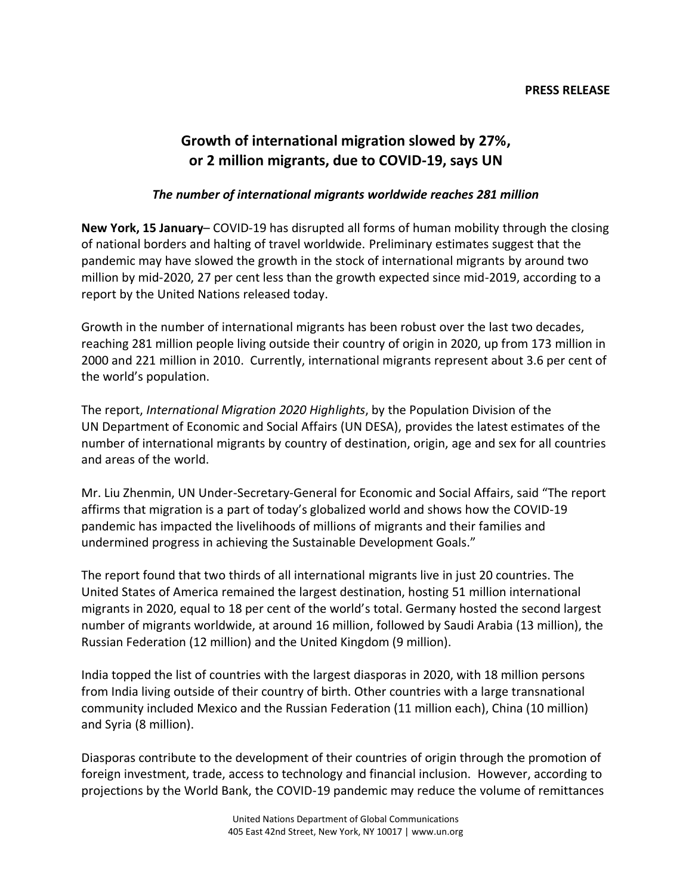## **PRESS RELEASE**

## **Growth of international migration slowed by 27%, or 2 million migrants, due to COVID-19, says UN**

## *The number of international migrants worldwide reaches 281 million*

**New York, 15 January**– COVID-19 has disrupted all forms of human mobility through the closing of national borders and halting of travel worldwide. Preliminary estimates suggest that the pandemic may have slowed the growth in the stock of international migrants by around two million by mid-2020, 27 per cent less than the growth expected since mid-2019, according to a report by the United Nations released today.

Growth in the number of international migrants has been robust over the last two decades, reaching 281 million people living outside their country of origin in 2020, up from 173 million in 2000 and 221 million in 2010. Currently, international migrants represent about 3.6 per cent of the world's population.

The report, *International Migration 2020 Highlights*, by the Population Division of the UN Department of Economic and Social Affairs (UN DESA), provides the latest estimates of the number of international migrants by country of destination, origin, age and sex for all countries and areas of the world.

Mr. Liu Zhenmin, UN Under-Secretary-General for Economic and Social Affairs, said "The report affirms that migration is a part of today's globalized world and shows how the COVID-19 pandemic has impacted the livelihoods of millions of migrants and their families and undermined progress in achieving the Sustainable Development Goals."

The report found that two thirds of all international migrants live in just 20 countries. The United States of America remained the largest destination, hosting 51 million international migrants in 2020, equal to 18 per cent of the world's total. Germany hosted the second largest number of migrants worldwide, at around 16 million, followed by Saudi Arabia (13 million), the Russian Federation (12 million) and the United Kingdom (9 million).

India topped the list of countries with the largest diasporas in 2020, with 18 million persons from India living outside of their country of birth. Other countries with a large transnational community included Mexico and the Russian Federation (11 million each), China (10 million) and Syria (8 million).

Diasporas contribute to the development of their countries of origin through the promotion of foreign investment, trade, access to technology and financial inclusion. However, according to projections by the World Bank, the COVID-19 pandemic may reduce the volume of remittances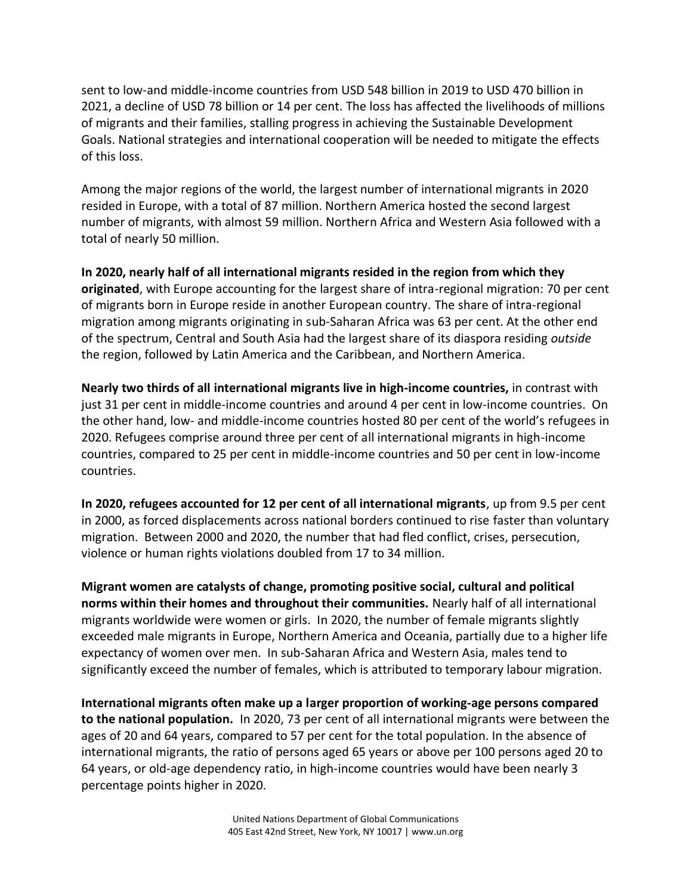sent to low-and middle-income countries from USD 548 billion in 2019 to USD 470 billion in 2021, a decline of USD 78 billion or 14 per cent. The loss has affected the livelihoods of millions of migrants and their families, stalling progress in achieving the Sustainable Development Goals. National strategies and international cooperation will be needed to mitigate the effects of this loss.

Among the major regions of the world, the largest number of international migrants in 2020 resided in Europe, with a total of 87 million. Northern America hosted the second largest number of migrants, with almost 59 million. Northern Africa and Western Asia followed with a total of nearly 50 million.

**In 2020, nearly half of all international migrants resided in the region from which they originated**, with Europe accounting for the largest share of intra-regional migration: 70 per cent of migrants born in Europe reside in another European country. The share of intra-regional migration among migrants originating in sub-Saharan Africa was 63 per cent. At the other end of the spectrum, Central and South Asia had the largest share of its diaspora residing *outside*  the region, followed by Latin America and the Caribbean, and Northern America.

**Nearly two thirds of all international migrants live in high-income countries,** in contrast with just 31 per cent in middle-income countries and around 4 per cent in low-income countries. On the other hand, low- and middle-income countries hosted 80 per cent of the world's refugees in 2020. Refugees comprise around three per cent of all international migrants in high-income countries, compared to 25 per cent in middle-income countries and 50 per cent in low-income countries.

**In 2020, refugees accounted for 12 per cent of all international migrants**, up from 9.5 per cent in 2000, as forced displacements across national borders continued to rise faster than voluntary migration. Between 2000 and 2020, the number that had fled conflict, crises, persecution, violence or human rights violations doubled from 17 to 34 million.

**Migrant women are catalysts of change, promoting positive social, cultural and political norms within their homes and throughout their communities.** Nearly half of all international migrants worldwide were women or girls. In 2020, the number of female migrants slightly exceeded male migrants in Europe, Northern America and Oceania, partially due to a higher life expectancy of women over men. In sub-Saharan Africa and Western Asia, males tend to significantly exceed the number of females, which is attributed to temporary labour migration.

**International migrants often make up a larger proportion of working-age persons compared to the national population.** In 2020, 73 per cent of all international migrants were between the ages of 20 and 64 years, compared to 57 per cent for the total population. In the absence of international migrants, the ratio of persons aged 65 years or above per 100 persons aged 20 to 64 years, or old-age dependency ratio, in high-income countries would have been nearly 3 percentage points higher in 2020.